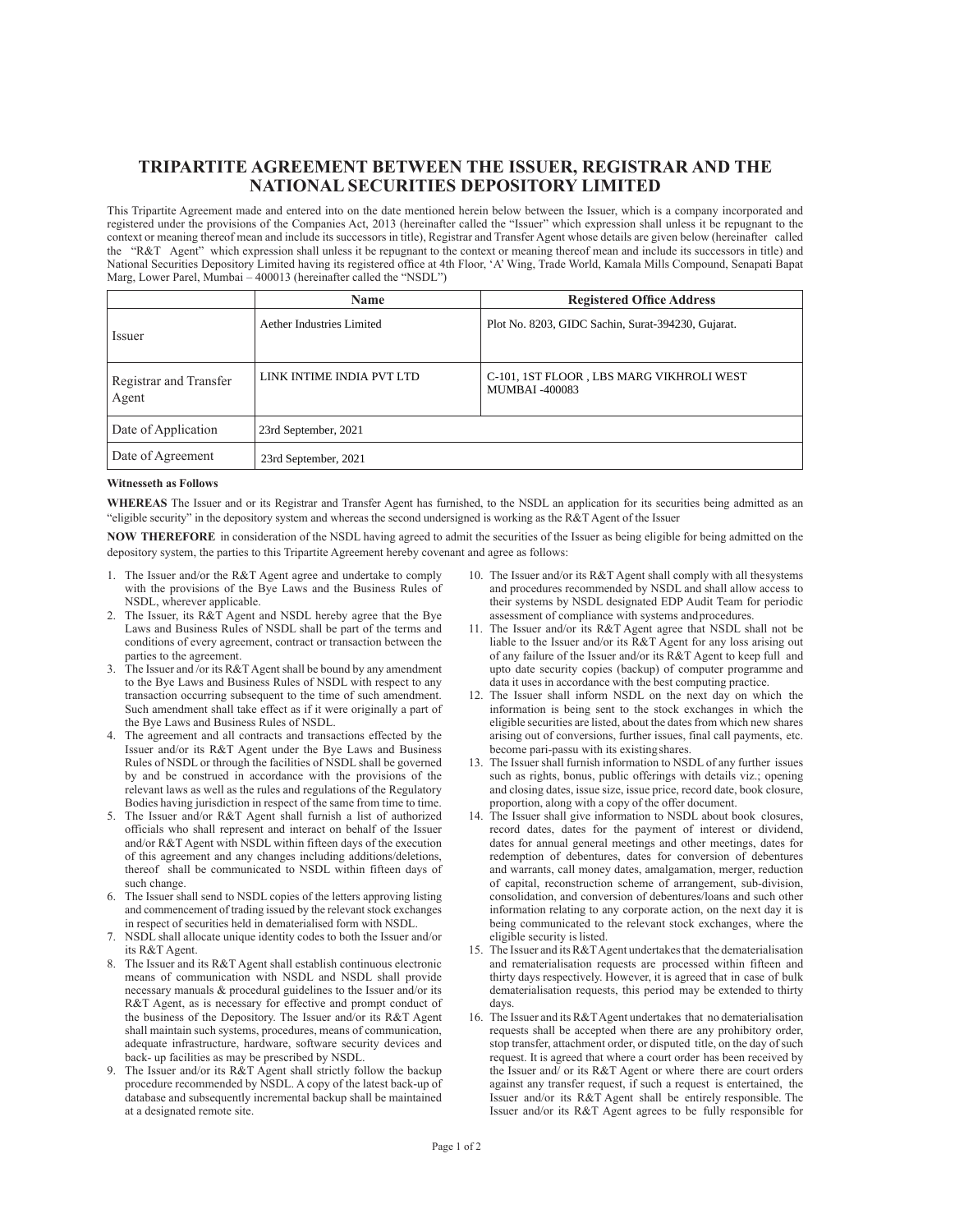## **TRIPARTITE AGREEMENT BETWEEN THE ISSUER, REGISTRAR AND THE NATIONAL SECURITIES DEPOSITORY LIMITED**

This Tripartite Agreement made and entered into on the date mentioned herein below between the Issuer, which is a company incorporated and registered under the provisions of the Companies Act, 2013 (hereinafter called the "Issuer" which expression shall unless it be repugnant to the context or meaning thereof mean and include its successors in title), Registrar and Transfer Agent whose details are given below (hereinafter called the "R&T Agent" which expression shall unless it be repugnant to the context or meaning thereof mean and include its successors in title) and National Securities Depository Limited having its registered office at 4th Floor, 'A' Wing, Trade World, Kamala Mills Compound, Senapati Bapat Marg, Lower Parel, Mumbai – 400013 (hereinafter called the "NSDL")

|                                 | Name                      | <b>Registered Office Address</b>                                   |
|---------------------------------|---------------------------|--------------------------------------------------------------------|
| Issuer                          | Aether Industries Limited | Plot No. 8203, GIDC Sachin, Surat-394230, Gujarat.                 |
| Registrar and Transfer<br>Agent | LINK INTIME INDIA PVT LTD | C-101, 1ST FLOOR , LBS MARG VIKHROLI WEST<br><b>MUMBAI -400083</b> |
| Date of Application             | 23rd September, 2021      |                                                                    |
| Date of Agreement               | 23rd September, 2021      |                                                                    |

## **Witnesseth as Follows**

**WHEREAS** The Issuer and or its Registrar and Transfer Agent has furnished, to the NSDL an application for its securities being admitted as an "eligible security" in the depository system and whereas the second undersigned is working as the R&T Agent of the Issuer

**NOW THEREFORE** in consideration of the NSDL having agreed to admit the securities of the Issuer as being eligible for being admitted on the depository system, the parties to this Tripartite Agreement hereby covenant and agree as follows:

- 1. The Issuer and/or the R&T Agent agree and undertake to comply with the provisions of the Bye Laws and the Business Rules of NSDL, wherever applicable.
- 2. The Issuer, its R&T Agent and NSDL hereby agree that the Bye Laws and Business Rules of NSDL shall be part of the terms and conditions of every agreement, contract or transaction between the parties to the agreement.
- 3. The Issuer and /or its R&T Agent shall be bound by any amendment to the Bye Laws and Business Rules of NSDL with respect to any transaction occurring subsequent to the time of such amendment. Such amendment shall take effect as if it were originally a part of the Bye Laws and Business Rules of NSDL.
- 4. The agreement and all contracts and transactions effected by the Issuer and/or its R&T Agent under the Bye Laws and Business Rules of NSDL or through the facilities of NSDL shall be governed by and be construed in accordance with the provisions of the relevant laws as well as the rules and regulations of the Regulatory Bodies having jurisdiction in respect of the same from time to time.
- 5. The Issuer and/or R&T Agent shall furnish a list of authorized officials who shall represent and interact on behalf of the Issuer and/or R&T Agent with NSDL within fifteen days of the execution of this agreement and any changes including additions/deletions, thereof shall be communicated to NSDL within fifteen days of such change.
- 6. The Issuer shall send to NSDL copies of the letters approving listing and commencement of trading issued by the relevant stock exchanges in respect of securities held in dematerialised form with NSDL.
- 7. NSDL shall allocate unique identity codes to both the Issuer and/or its R&T Agent.
- 8. The Issuer and its R&T Agent shall establish continuous electronic means of communication with NSDL and NSDL shall provide necessary manuals & procedural guidelines to the Issuer and/or its R&T Agent, as is necessary for effective and prompt conduct of the business of the Depository. The Issuer and/or its R&T Agent shall maintain such systems, procedures, means of communication, adequate infrastructure, hardware, software security devices and back- up facilities as may be prescribed by NSDL.
- 9. The Issuer and/or its R&T Agent shall strictly follow the backup procedure recommended by NSDL. A copy of the latest back-up of database and subsequently incremental backup shall be maintained at a designated remote site.
- 10. The Issuer and/or its R&T Agent shall comply with all the systems and procedures recommended by NSDL and shall allow access to their systems by NSDL designated EDP Audit Team for periodic assessment of compliance with systems and procedures.
- 11. The Issuer and/or its R&T Agent agree that NSDL shall not be liable to the Issuer and/or its R&T Agent for any loss arising out of any failure of the Issuer and/or its R&T Agent to keep full and upto date security copies (backup) of computer programme and data it uses in accordance with the best computing practice.
- 12. The Issuer shall inform NSDL on the next day on which the information is being sent to the stock exchanges in which the eligible securities are listed, about the dates from which new shares arising out of conversions, further issues, final call payments, etc. become pari-passu with its existing shares.
- 13. The Issuer shall furnish information to NSDL of any further issues such as rights, bonus, public offerings with details viz.; opening and closing dates, issue size, issue price, record date, book closure, proportion, along with a copy of the offer document.
- 14. The Issuer shall give information to NSDL about book closures, record dates, dates for the payment of interest or dividend, dates for annual general meetings and other meetings, dates for redemption of debentures, dates for conversion of debentures and warrants, call money dates, amalgamation, merger, reduction of capital, reconstruction scheme of arrangement, sub-division, consolidation, and conversion of debentures/loans and such other information relating to any corporate action, on the next day it is being communicated to the relevant stock exchanges, where the eligible security is listed.
- 15. The Issuer and its R&T Agent undertakes that the dematerialisation and rematerialisation requests are processed within fifteen and thirty days respectively. However, it is agreed that in case of bulk dematerialisation requests, this period may be extended to thirty days.
- 16. The Issuer and its R&T Agent undertakes that no dematerialisation requests shall be accepted when there are any prohibitory order, stop transfer, attachment order, or disputed title, on the day of such request. It is agreed that where a court order has been received by the Issuer and/ or its R&T Agent or where there are court orders against any transfer request, if such a request is entertained, the Issuer and/or its R&T Agent shall be entirely responsible. The Issuer and/or its R&T Agent agrees to be fully responsible for